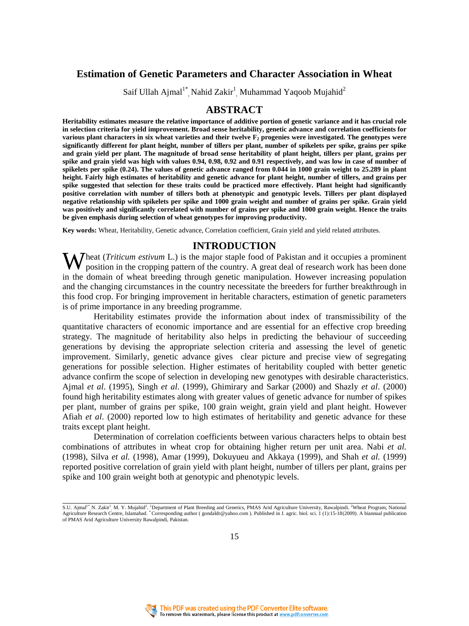# **Estimation of Genetic Parameters and Character Association in Wheat**

Saif Ullah Ajmal $1^*$ , Nahid Zakir<sup>1</sup>, Muhammad Yaqoob Mujahid<sup>2</sup>

### **ABSTRACT**

**Heritability estimates measure the relative importance of additive portion of genetic variance and it has crucial role in selection criteria for yield improvement. Broad sense heritability, genetic advance and correlation coefficients for various plant characters in six wheat varieties and their twelve F2 progenies were investigated. The genotypes were significantly different for plant height, number of tillers per plant, number of spikelets per spike, grains per spike and grain yield per plant. The magnitude of broad sense heritability of plant height, tillers per plant, grains per spike and grain yield was high with values 0.94, 0.98, 0.92 and 0.91 respectively, and was low in case of number of spikelets per spike (0.24). The values of genetic advance ranged from 0.044 in 1000 grain weight to 25.289 in plant height. Fairly high estimates of heritability and genetic advance for plant height, number of tillers, and grains per spike suggested that selection for these traits could be practiced more effectively. Plant height had significantly positive correlation with number of tillers both at phenotypic and genotypic levels. Tillers per plant displayed negative relationship with spikelets per spike and 1000 grain weight and number of grains per spike. Grain yield was positively and significantly correlated with number of grains per spike and 1000 grain weight. Hence the traits be given emphasis during selection of wheat genotypes for improving productivity.**

**Key words:** Wheat, Heritability, Genetic advance, Correlation coefficient, Grain yield and yield related attributes.

### **INTRODUCTION**

Wheat (*Triticum estivum* L.) is the major staple food of Pakistan and it occupies a prominent position in the cropping pattern of the country. A great deal of research work has been done position in the cropping pattern of the country. A great deal of research work has been done in the domain of wheat breeding through genetic manipulation. However increasing population and the changing circumstances in the country necessitate the breeders for further breakthrough in this food crop. For bringing improvement in heritable characters, estimation of genetic parameters is of prime importance in any breeding programme.

Heritability estimates provide the information about index of transmissibility of the quantitative characters of economic importance and are essential for an effective crop breeding strategy. The magnitude of heritability also helps in predicting the behaviour of succeeding generations by devising the appropriate selection criteria and assessing the level of genetic improvement. Similarly, genetic advance gives clear picture and precise view of segregating generations for possible selection. Higher estimates of heritability coupled with better genetic advance confirm the scope of selection in developing new genotypes with desirable characteristics. Ajmal *et al*. (1995), Singh *et al*. (1999), Ghimirary and Sarkar (2000) and Shazly *et al*. (2000) found high heritability estimates along with greater values of genetic advance for number of spikes per plant, number of grains per spike, 100 grain weight, grain yield and plant height. However Afiah *et al*. (2000) reported low to high estimates of heritability and genetic advance for these traits except plant height.

Determination of correlation coefficients between various characters helps to obtain best combinations of attributes in wheat crop for obtaining higher return per unit area. Nabi *et al.*  (1998), Silva *et al.* (1998), Amar (1999), Dokuyueu and Akkaya (1999), and Shah *et al.* (1999) reported positive correlation of grain yield with plant height, number of tillers per plant, grains per spike and 100 grain weight both at genotypic and phenotypic levels.



<sup>.&</sup>lt;br>S.U. Ajmal<sup>1\*</sup> N. Zakir<sup>1</sup> M. Y. Mujahid<sup>2</sup>. <sup>1</sup>Department of Plant Breeding and Genetics, PMAS Arid Agriculture University, Rawalpindi. <sup>2</sup>Wheat Program, National Agriculture Research Centre, Islamabad. \* Corresponding author ( gondaldr@yahoo.com ). Published in J. agric. biol. sci. 1 (1):15-18(2009). A biannual publication of PMAS Arid Agriculture University Rawalpindi, Pakistan.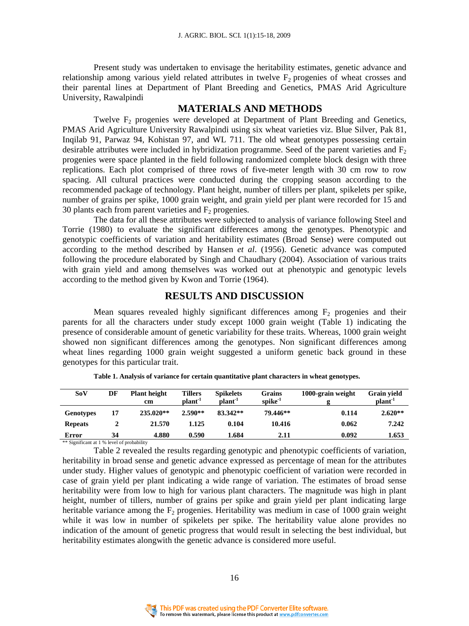Present study was undertaken to envisage the heritability estimates, genetic advance and relationship among various yield related attributes in twelve  $F_2$  progenies of wheat crosses and their parental lines at Department of Plant Breeding and Genetics, PMAS Arid Agriculture University, Rawalpindi

#### **MATERIALS AND METHODS**

Twelve F<sub>2</sub> progenies were developed at Department of Plant Breeding and Genetics, PMAS Arid Agriculture University Rawalpindi using six wheat varieties viz. Blue Silver, Pak 81, Inqilab 91, Parwaz 94, Kohistan 97, and WL 711. The old wheat genotypes possessing certain desirable attributes were included in hybridization programme. Seed of the parent varieties and  $F<sub>2</sub>$ progenies were space planted in the field following randomized complete block design with three replications. Each plot comprised of three rows of five-meter length with 30 cm row to row spacing. All cultural practices were conducted during the cropping season according to the recommended package of technology. Plant height, number of tillers per plant, spikelets per spike, number of grains per spike, 1000 grain weight, and grain yield per plant were recorded for 15 and 30 plants each from parent varieties and  $F_2$  progenies.

The data for all these attributes were subjected to analysis of variance following Steel and Torrie (1980) to evaluate the significant differences among the genotypes. Phenotypic and genotypic coefficients of variation and heritability estimates (Broad Sense) were computed out according to the method described by Hansen *et al*. (1956). Genetic advance was computed following the procedure elaborated by Singh and Chaudhary (2004). Association of various traits with grain yield and among themselves was worked out at phenotypic and genotypic levels according to the method given by Kwon and Torrie (1964).

# **RESULTS AND DISCUSSION**

Mean squares revealed highly significant differences among  $F<sub>2</sub>$  progenies and their parents for all the characters under study except 1000 grain weight (Table 1) indicating the presence of considerable amount of genetic variability for these traits. Whereas, 1000 grain weight showed non significant differences among the genotypes. Non significant differences among wheat lines regarding 1000 grain weight suggested a uniform genetic back ground in these genotypes for this particular trait.

| SoV                                                 | DF | <b>Plant height</b><br>cm | <b>Tillers</b><br>plant <sup>-1</sup> | <b>Spikelets</b><br>plant <sup>-1</sup> | Grains<br>spike <sup>-1</sup> | 1000-grain weight | Grain vield<br>plant <sup>-1</sup> |
|-----------------------------------------------------|----|---------------------------|---------------------------------------|-----------------------------------------|-------------------------------|-------------------|------------------------------------|
| <b>Genotypes</b>                                    | 17 | $235.020**$               | $2.590**$                             | 83.342**                                | 79.446**                      | 0.114             | $2.620**$                          |
| <b>Repeats</b>                                      |    | 21.570                    | 1.125                                 | 0.104                                   | 10.416                        | 0.062             | 7.242                              |
| Error                                               | 34 | 4.880                     | 0.590                                 | 1.684                                   | 2.11                          | 0.092             | 1.653                              |
| $*$ Cienificant at 1.04 $\alpha$ and of probability |    |                           |                                       |                                         |                               |                   |                                    |

| Table 1. Analysis of variance for certain quantitative plant characters in wheat genotypes. |  |  |
|---------------------------------------------------------------------------------------------|--|--|
|                                                                                             |  |  |

nt at 1 % level of probability

Table 2 revealed the results regarding genotypic and phenotypic coefficients of variation, heritability in broad sense and genetic advance expressed as percentage of mean for the attributes under study. Higher values of genotypic and phenotypic coefficient of variation were recorded in case of grain yield per plant indicating a wide range of variation. The estimates of broad sense heritability were from low to high for various plant characters. The magnitude was high in plant height, number of tillers, number of grains per spike and grain yield per plant indicating large heritable variance among the  $F<sub>2</sub>$  progenies. Heritability was medium in case of 1000 grain weight while it was low in number of spikelets per spike. The heritability value alone provides no indication of the amount of genetic progress that would result in selecting the best individual, but heritability estimates alongwith the genetic advance is considered more useful.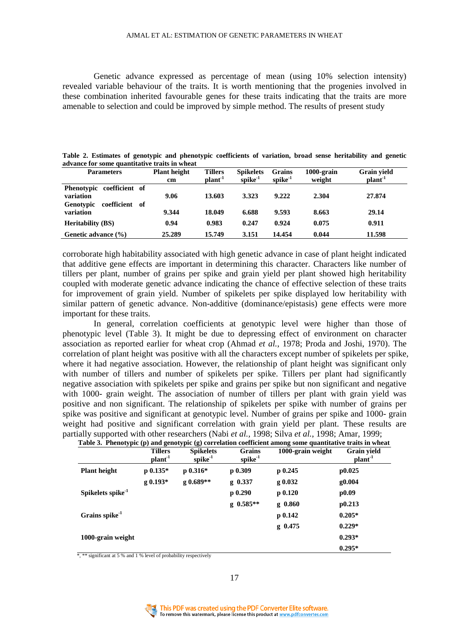Genetic advance expressed as percentage of mean (using 10% selection intensity) revealed variable behaviour of the traits. It is worth mentioning that the progenies involved in these combination inherited favourable genes for these traits indicating that the traits are more amenable to selection and could be improved by simple method. The results of present study

| <b>Parameters</b>                                                     | <b>Plant height</b><br>cm | <b>Tillers</b><br>$\mathbf{plant}^{-1}$ | <b>Spikelets</b><br>$snike^{-1}$ | Grains<br>$snike^{-1}$ | $1000$ -grain<br>weight | Grain yield<br>plant <sup>-1</sup> |
|-----------------------------------------------------------------------|---------------------------|-----------------------------------------|----------------------------------|------------------------|-------------------------|------------------------------------|
| Phenotypic coefficient of<br>variation<br>coefficient of<br>Genotypic | 9.06                      | 13.603                                  | 3.323                            | 9.222                  | 2.304                   | 27.874                             |
| variation                                                             | 9.344                     | 18.049                                  | 6.688                            | 9.593                  | 8.663                   | 29.14                              |
| <b>Heritability (BS)</b>                                              | 0.94                      | 0.983                                   | 0.247                            | 0.924                  | 0.075                   | 0.911                              |
| Genetic advance (%)                                                   | 25.289                    | 15.749                                  | 3.151                            | 14.454                 | 0.044                   | 11.598                             |

| Table 2. Estimates of genotypic and phenotypic coefficients of variation, broad sense heritability and genetic |  |  |  |  |  |  |
|----------------------------------------------------------------------------------------------------------------|--|--|--|--|--|--|
| advance for some quantitative traits in wheat                                                                  |  |  |  |  |  |  |

corroborate high habitability associated with high genetic advance in case of plant height indicated that additive gene effects are important in determining this character. Characters like number of tillers per plant, number of grains per spike and grain yield per plant showed high heritability coupled with moderate genetic advance indicating the chance of effective selection of these traits for improvement of grain yield. Number of spikelets per spike displayed low heritability with similar pattern of genetic advance. Non-additive (dominance/epistasis) gene effects were more important for these traits.

In general, correlation coefficients at genotypic level were higher than those of phenotypic level (Table 3). It might be due to depressing effect of environment on character association as reported earlier for wheat crop (Ahmad *et al.*, 1978; Proda and Joshi, 1970). The correlation of plant height was positive with all the characters except number of spikelets per spike, where it had negative association. However, the relationship of plant height was significant only with number of tillers and number of spikelets per spike. Tillers per plant had significantly negative association with spikelets per spike and grains per spike but non significant and negative with 1000- grain weight. The association of number of tillers per plant with grain yield was positive and non significant. The relationship of spikelets per spike with number of grains per spike was positive and significant at genotypic level. Number of grains per spike and 1000- grain weight had positive and significant correlation with grain yield per plant. These results are partially supported with other researchers (Nabi *et al.,* 1998; Silva *et al.*, 1998; Amar, 1999;

|                               | <b>Tillers</b><br>plant <sup>-1</sup> | <b>Spikelets</b><br>$\text{spike}^{-1}$ | <b>Grains</b><br>$spike^{-1}$ | 1000-grain weight | <b>Grain yield</b><br>plant <sup>-1</sup> |
|-------------------------------|---------------------------------------|-----------------------------------------|-------------------------------|-------------------|-------------------------------------------|
| <b>Plant height</b>           | $p 0.135*$                            | $p 0.316*$                              | $p_{0.309}$                   | $p_{0.245}$       | p0.025                                    |
|                               | g 0.193*                              | g 0.689**                               | g 0.337                       | g 0.032           | g <sub>0.004</sub>                        |
| Spikelets spike <sup>-1</sup> |                                       |                                         | $p$ 0.290                     | p 0.120           | p0.09                                     |
|                               |                                       |                                         | $g \; 0.585**$                | $g$ 0.860         | p0.213                                    |
| Grains spike <sup>-1</sup>    |                                       |                                         |                               | $p_{0.142}$       | $0.205*$                                  |
|                               |                                       |                                         |                               | $g$ 0.475         | $0.229*$                                  |
| 1000-grain weight             |                                       |                                         |                               |                   | $0.293*$                                  |
|                               |                                       |                                         |                               |                   | $0.295*$                                  |

\*, \*\* significant at 5 % and 1 % level of probability respectively